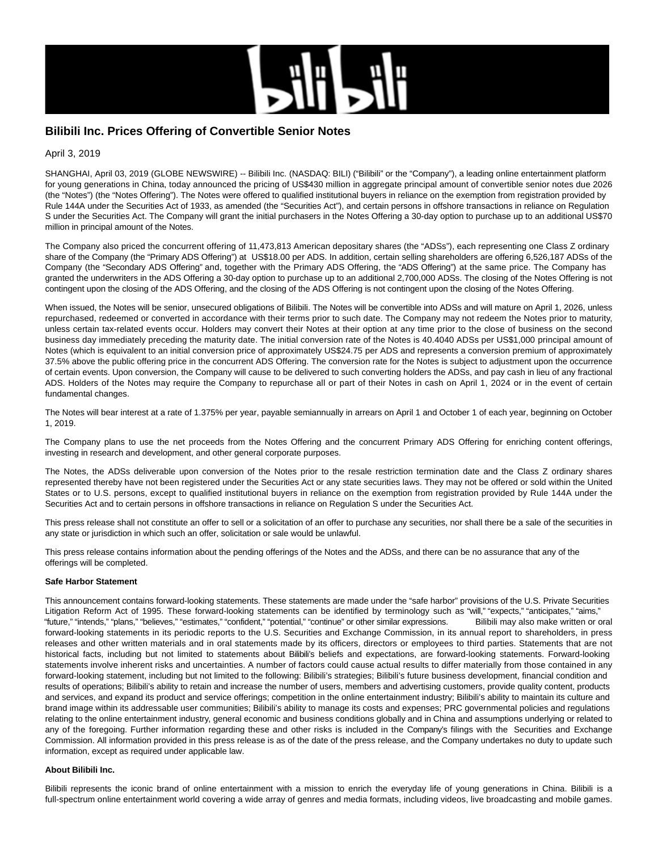

# **Bilibili Inc. Prices Offering of Convertible Senior Notes**

April 3, 2019

SHANGHAI, April 03, 2019 (GLOBE NEWSWIRE) -- Bilibili Inc. (NASDAQ: BILI) ("Bilibili" or the "Company"), a leading online entertainment platform for young generations in China, today announced the pricing of US\$430 million in aggregate principal amount of convertible senior notes due 2026 (the "Notes") (the "Notes Offering"). The Notes were offered to qualified institutional buyers in reliance on the exemption from registration provided by Rule 144A under the Securities Act of 1933, as amended (the "Securities Act"), and certain persons in offshore transactions in reliance on Regulation S under the Securities Act. The Company will grant the initial purchasers in the Notes Offering a 30-day option to purchase up to an additional US\$70 million in principal amount of the Notes.

The Company also priced the concurrent offering of 11,473,813 American depositary shares (the "ADSs"), each representing one Class Z ordinary share of the Company (the "Primary ADS Offering") at US\$18.00 per ADS. In addition, certain selling shareholders are offering 6,526,187 ADSs of the Company (the "Secondary ADS Offering" and, together with the Primary ADS Offering, the "ADS Offering") at the same price. The Company has granted the underwriters in the ADS Offering a 30-day option to purchase up to an additional 2,700,000 ADSs. The closing of the Notes Offering is not contingent upon the closing of the ADS Offering, and the closing of the ADS Offering is not contingent upon the closing of the Notes Offering.

When issued, the Notes will be senior, unsecured obligations of Bilibili. The Notes will be convertible into ADSs and will mature on April 1, 2026, unless repurchased, redeemed or converted in accordance with their terms prior to such date. The Company may not redeem the Notes prior to maturity, unless certain tax-related events occur. Holders may convert their Notes at their option at any time prior to the close of business on the second business day immediately preceding the maturity date. The initial conversion rate of the Notes is 40.4040 ADSs per US\$1,000 principal amount of Notes (which is equivalent to an initial conversion price of approximately US\$24.75 per ADS and represents a conversion premium of approximately 37.5% above the public offering price in the concurrent ADS Offering. The conversion rate for the Notes is subject to adjustment upon the occurrence of certain events. Upon conversion, the Company will cause to be delivered to such converting holders the ADSs, and pay cash in lieu of any fractional ADS. Holders of the Notes may require the Company to repurchase all or part of their Notes in cash on April 1, 2024 or in the event of certain fundamental changes.

The Notes will bear interest at a rate of 1.375% per year, payable semiannually in arrears on April 1 and October 1 of each year, beginning on October 1, 2019.

The Company plans to use the net proceeds from the Notes Offering and the concurrent Primary ADS Offering for enriching content offerings, investing in research and development, and other general corporate purposes.

The Notes, the ADSs deliverable upon conversion of the Notes prior to the resale restriction termination date and the Class Z ordinary shares represented thereby have not been registered under the Securities Act or any state securities laws. They may not be offered or sold within the United States or to U.S. persons, except to qualified institutional buyers in reliance on the exemption from registration provided by Rule 144A under the Securities Act and to certain persons in offshore transactions in reliance on Regulation S under the Securities Act.

This press release shall not constitute an offer to sell or a solicitation of an offer to purchase any securities, nor shall there be a sale of the securities in any state or jurisdiction in which such an offer, solicitation or sale would be unlawful.

This press release contains information about the pending offerings of the Notes and the ADSs, and there can be no assurance that any of the offerings will be completed.

# **Safe Harbor Statement**

This announcement contains forward-looking statements. These statements are made under the "safe harbor" provisions of the U.S. Private Securities Litigation Reform Act of 1995. These forward-looking statements can be identified by terminology such as "will," "expects," "anticipates," "aims," "future," "intends," "plans," "believes," "estimates," "confident," "potential," "continue" or other similar expressions. Bilibili may also make written or oral forward-looking statements in its periodic reports to the U.S. Securities and Exchange Commission, in its annual report to shareholders, in press releases and other written materials and in oral statements made by its officers, directors or employees to third parties. Statements that are not historical facts, including but not limited to statements about Bilibili's beliefs and expectations, are forward-looking statements. Forward-looking statements involve inherent risks and uncertainties. A number of factors could cause actual results to differ materially from those contained in any forward-looking statement, including but not limited to the following: Bilibili's strategies; Bilibili's future business development, financial condition and results of operations; Bilibili's ability to retain and increase the number of users, members and advertising customers, provide quality content, products and services, and expand its product and service offerings; competition in the online entertainment industry; Bilibili's ability to maintain its culture and brand image within its addressable user communities; Bilibili's ability to manage its costs and expenses; PRC governmental policies and regulations relating to the online entertainment industry, general economic and business conditions globally and in China and assumptions underlying or related to any of the foregoing. Further information regarding these and other risks is included in the Company's filings with the Securities and Exchange Commission. All information provided in this press release is as of the date of the press release, and the Company undertakes no duty to update such information, except as required under applicable law.

## **About Bilibili Inc.**

Bilibili represents the iconic brand of online entertainment with a mission to enrich the everyday life of young generations in China. Bilibili is a full-spectrum online entertainment world covering a wide array of genres and media formats, including videos, live broadcasting and mobile games.